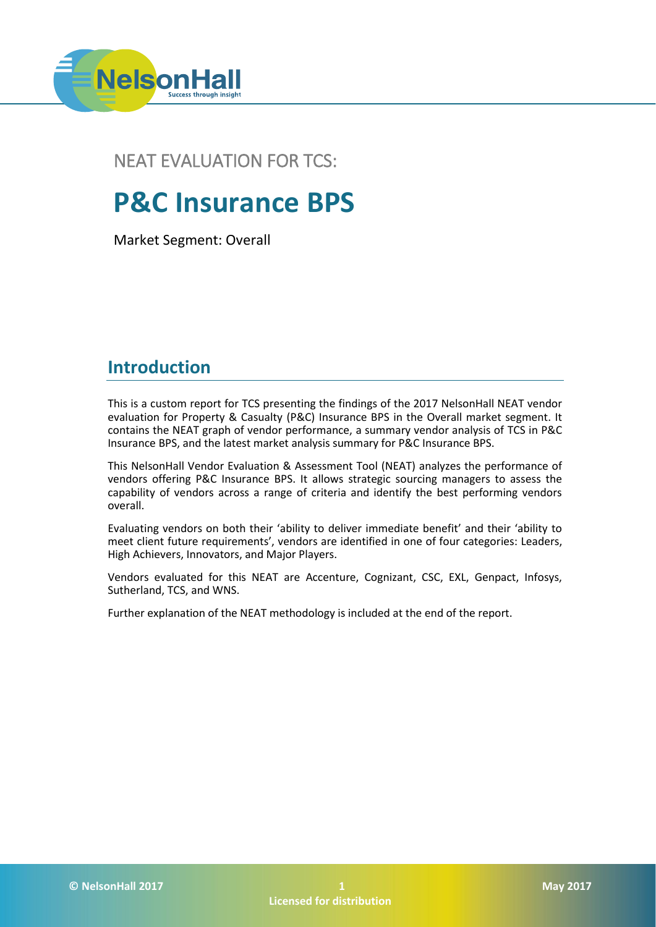

## NEAT EVALUATION FOR TCS:

# **P&C Insurance BPS**

Market Segment: Overall

## **Introduction**

This is a custom report for TCS presenting the findings of the 2017 NelsonHall NEAT vendor evaluation for Property & Casualty (P&C) Insurance BPS in the Overall market segment. It contains the NEAT graph of vendor performance, a summary vendor analysis of TCS in P&C Insurance BPS, and the latest market analysis summary for P&C Insurance BPS.

This NelsonHall Vendor Evaluation & Assessment Tool (NEAT) analyzes the performance of vendors offering P&C Insurance BPS. It allows strategic sourcing managers to assess the capability of vendors across a range of criteria and identify the best performing vendors overall.

Evaluating vendors on both their 'ability to deliver immediate benefit' and their 'ability to meet client future requirements', vendors are identified in one of four categories: Leaders, High Achievers, Innovators, and Major Players.

Vendors evaluated for this NEAT are Accenture, Cognizant, CSC, EXL, Genpact, Infosys, Sutherland, TCS, and WNS.

Further explanation of the NEAT methodology is included at the end of the report.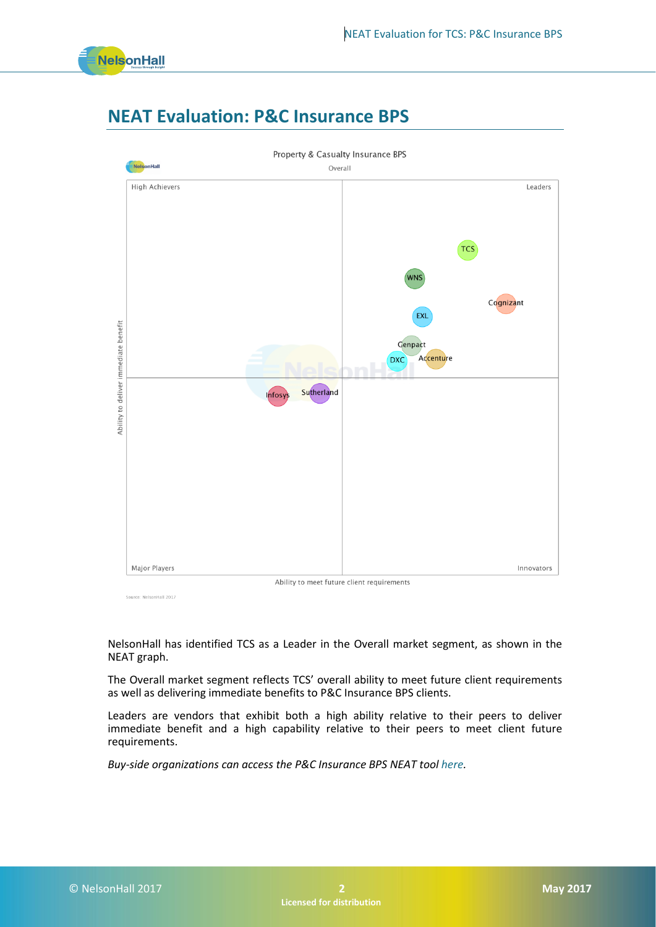

## **NEAT Evaluation: P&C Insurance BPS**



Source: NelsonHall 2017

NelsonHall has identified TCS as a Leader in the Overall market segment, as shown in the NEAT graph.

The Overall market segment reflects TCS' overall ability to meet future client requirements as well as delivering immediate benefits to P&C Insurance BPS clients.

Leaders are vendors that exhibit both a high ability relative to their peers to deliver immediate benefit and a high capability relative to their peers to meet client future requirements.

*Buy-side organizations can access the P&C Insurance BPS NEAT too[l here.](https://research.nelson-hall.com/sourcing-expertise/neat-reports/?avpage-views=neat&avpage-views=neat&NEATaction=viewProject&project=122)*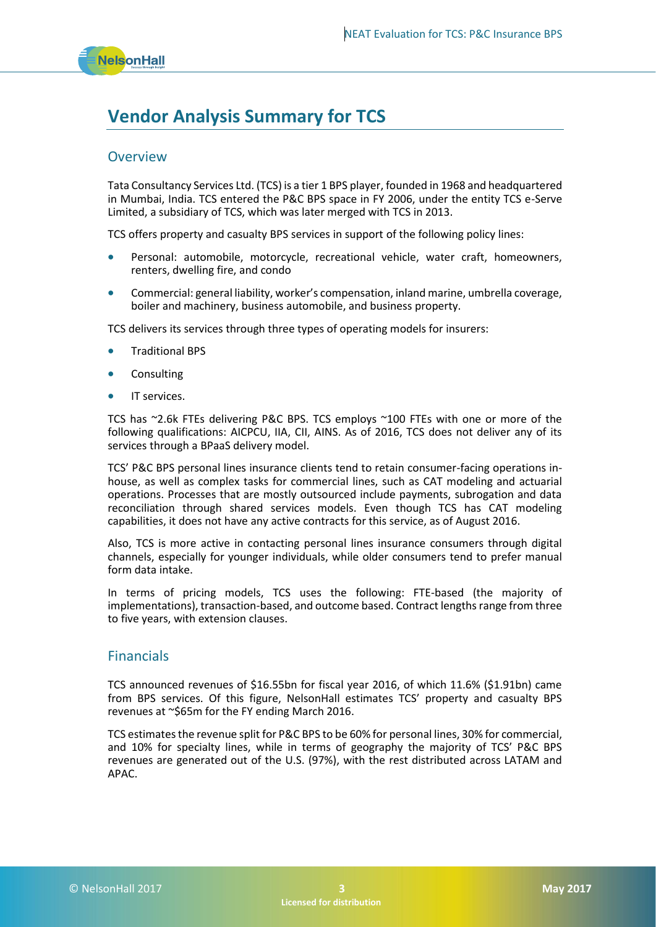## **Vendor Analysis Summary for TCS**

## **Overview**

Tata Consultancy Services Ltd. (TCS) is a tier 1 BPS player, founded in 1968 and headquartered in Mumbai, India. TCS entered the P&C BPS space in FY 2006, under the entity TCS e-Serve Limited, a subsidiary of TCS, which was later merged with TCS in 2013.

TCS offers property and casualty BPS services in support of the following policy lines:

- Personal: automobile, motorcycle, recreational vehicle, water craft, homeowners, renters, dwelling fire, and condo
- Commercial: general liability, worker's compensation, inland marine, umbrella coverage, boiler and machinery, business automobile, and business property.

TCS delivers its services through three types of operating models for insurers:

- Traditional BPS
- **Consulting**
- IT services.

TCS has ~2.6k FTEs delivering P&C BPS. TCS employs ~100 FTEs with one or more of the following qualifications: AICPCU, IIA, CII, AINS. As of 2016, TCS does not deliver any of its services through a BPaaS delivery model.

TCS' P&C BPS personal lines insurance clients tend to retain consumer-facing operations inhouse, as well as complex tasks for commercial lines, such as CAT modeling and actuarial operations. Processes that are mostly outsourced include payments, subrogation and data reconciliation through shared services models. Even though TCS has CAT modeling capabilities, it does not have any active contracts for this service, as of August 2016.

Also, TCS is more active in contacting personal lines insurance consumers through digital channels, especially for younger individuals, while older consumers tend to prefer manual form data intake.

In terms of pricing models, TCS uses the following: FTE-based (the majority of implementations), transaction-based, and outcome based. Contract lengths range from three to five years, with extension clauses.

### Financials

TCS announced revenues of \$16.55bn for fiscal year 2016, of which 11.6% (\$1.91bn) came from BPS services. Of this figure, NelsonHall estimates TCS' property and casualty BPS revenues at ~\$65m for the FY ending March 2016.

TCS estimates the revenue split for P&C BPS to be 60% for personal lines, 30% for commercial, and 10% for specialty lines, while in terms of geography the majority of TCS' P&C BPS revenues are generated out of the U.S. (97%), with the rest distributed across LATAM and APAC.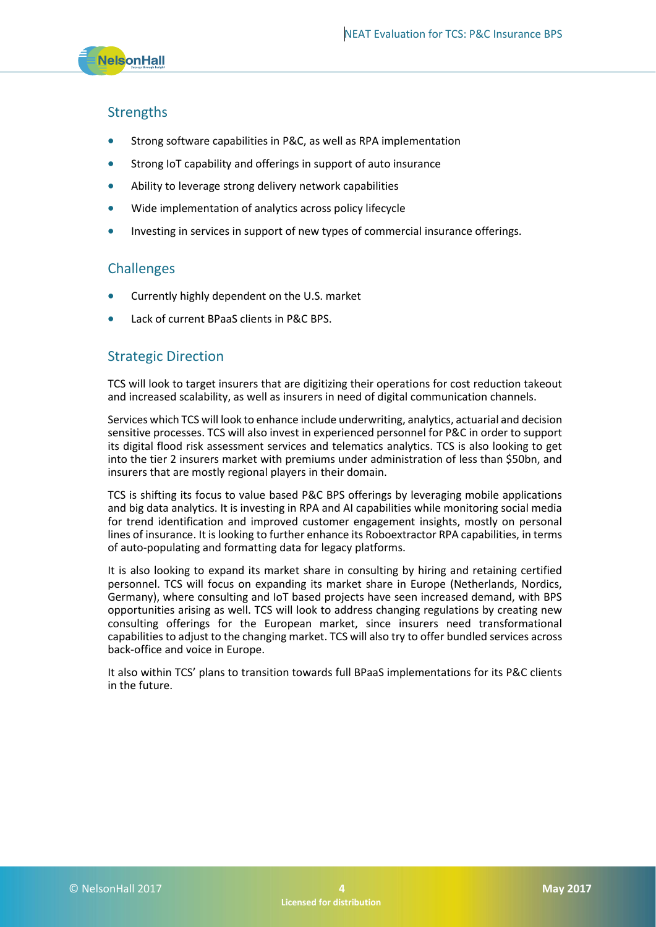## **Strengths**

- Strong software capabilities in P&C, as well as RPA implementation
- Strong IoT capability and offerings in support of auto insurance
- Ability to leverage strong delivery network capabilities
- Wide implementation of analytics across policy lifecycle
- Investing in services in support of new types of commercial insurance offerings.

## **Challenges**

- Currently highly dependent on the U.S. market
- Lack of current BPaaS clients in P&C BPS.

### Strategic Direction

TCS will look to target insurers that are digitizing their operations for cost reduction takeout and increased scalability, as well as insurers in need of digital communication channels.

Services which TCS will look to enhance include underwriting, analytics, actuarial and decision sensitive processes. TCS will also invest in experienced personnel for P&C in order to support its digital flood risk assessment services and telematics analytics. TCS is also looking to get into the tier 2 insurers market with premiums under administration of less than \$50bn, and insurers that are mostly regional players in their domain.

TCS is shifting its focus to value based P&C BPS offerings by leveraging mobile applications and big data analytics. It is investing in RPA and AI capabilities while monitoring social media for trend identification and improved customer engagement insights, mostly on personal lines of insurance. It is looking to further enhance its Roboextractor RPA capabilities, in terms of auto-populating and formatting data for legacy platforms.

It is also looking to expand its market share in consulting by hiring and retaining certified personnel. TCS will focus on expanding its market share in Europe (Netherlands, Nordics, Germany), where consulting and IoT based projects have seen increased demand, with BPS opportunities arising as well. TCS will look to address changing regulations by creating new consulting offerings for the European market, since insurers need transformational capabilities to adjust to the changing market. TCS will also try to offer bundled services across back-office and voice in Europe.

It also within TCS' plans to transition towards full BPaaS implementations for its P&C clients in the future.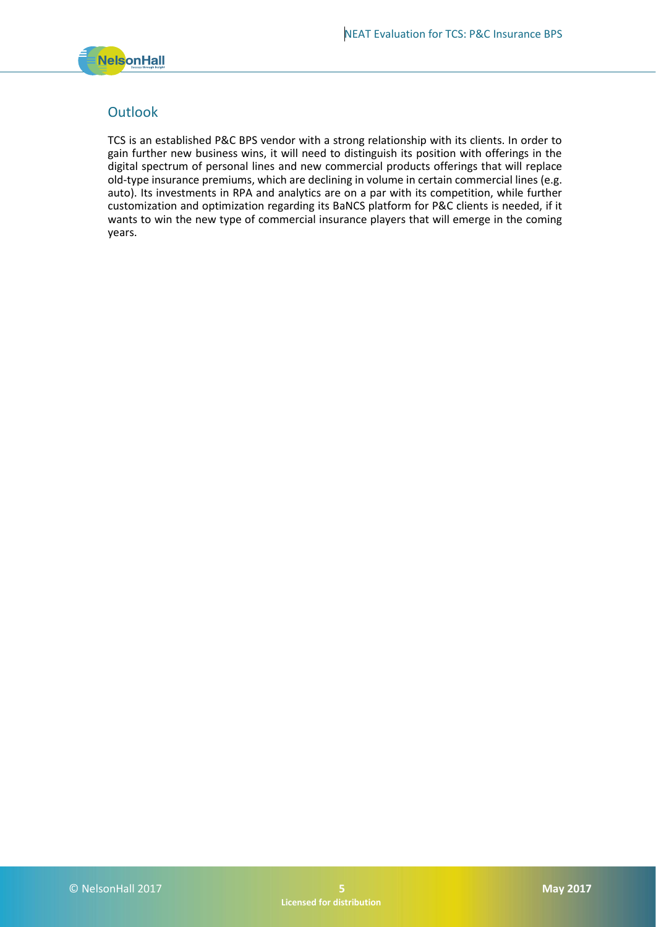

## **Outlook**

TCS is an established P&C BPS vendor with a strong relationship with its clients. In order to gain further new business wins, it will need to distinguish its position with offerings in the digital spectrum of personal lines and new commercial products offerings that will replace old-type insurance premiums, which are declining in volume in certain commercial lines (e.g. auto). Its investments in RPA and analytics are on a par with its competition, while further customization and optimization regarding its BaNCS platform for P&C clients is needed, if it wants to win the new type of commercial insurance players that will emerge in the coming years.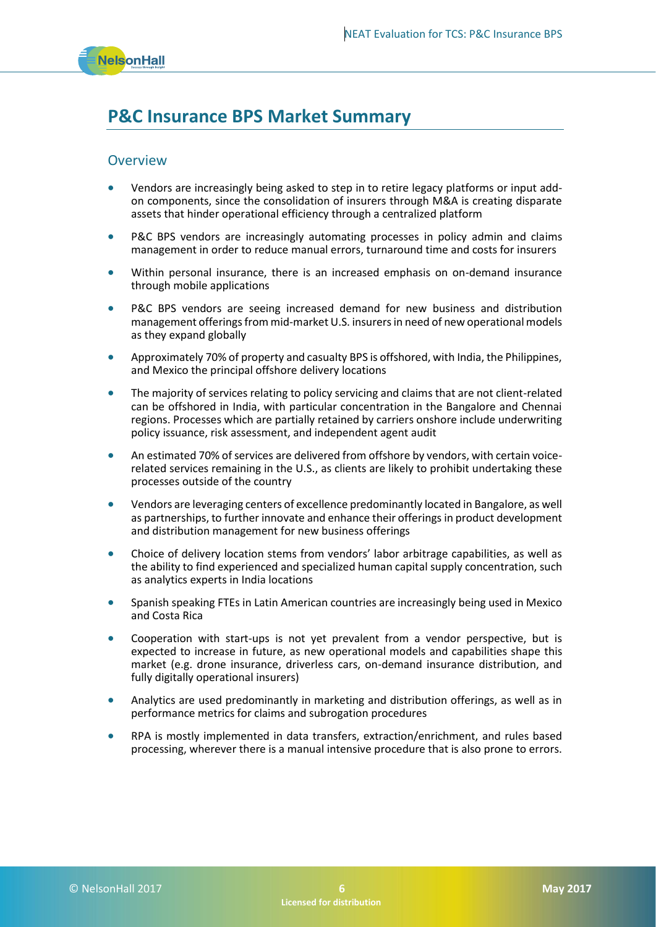

## **P&C Insurance BPS Market Summary**

### **Overview**

- Vendors are increasingly being asked to step in to retire legacy platforms or input addon components, since the consolidation of insurers through M&A is creating disparate assets that hinder operational efficiency through a centralized platform
- P&C BPS vendors are increasingly automating processes in policy admin and claims management in order to reduce manual errors, turnaround time and costs for insurers
- Within personal insurance, there is an increased emphasis on on-demand insurance through mobile applications
- P&C BPS vendors are seeing increased demand for new business and distribution management offerings from mid-market U.S. insurers in need of new operational models as they expand globally
- Approximately 70% of property and casualty BPS is offshored, with India, the Philippines, and Mexico the principal offshore delivery locations
- The majority of services relating to policy servicing and claims that are not client-related can be offshored in India, with particular concentration in the Bangalore and Chennai regions. Processes which are partially retained by carriers onshore include underwriting policy issuance, risk assessment, and independent agent audit
- An estimated 70% of services are delivered from offshore by vendors, with certain voicerelated services remaining in the U.S., as clients are likely to prohibit undertaking these processes outside of the country
- Vendors are leveraging centers of excellence predominantly located in Bangalore, as well as partnerships, to further innovate and enhance their offerings in product development and distribution management for new business offerings
- Choice of delivery location stems from vendors' labor arbitrage capabilities, as well as the ability to find experienced and specialized human capital supply concentration, such as analytics experts in India locations
- Spanish speaking FTEs in Latin American countries are increasingly being used in Mexico and Costa Rica
- Cooperation with start-ups is not yet prevalent from a vendor perspective, but is expected to increase in future, as new operational models and capabilities shape this market (e.g. drone insurance, driverless cars, on-demand insurance distribution, and fully digitally operational insurers)
- Analytics are used predominantly in marketing and distribution offerings, as well as in performance metrics for claims and subrogation procedures
- RPA is mostly implemented in data transfers, extraction/enrichment, and rules based processing, wherever there is a manual intensive procedure that is also prone to errors.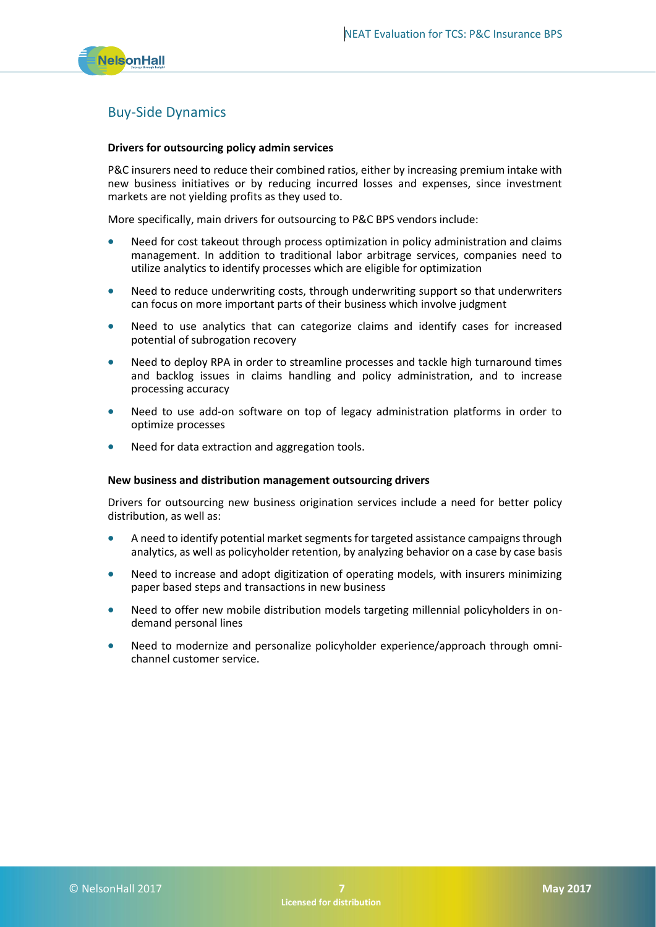

## Buy-Side Dynamics

#### **Drivers for outsourcing policy admin services**

P&C insurers need to reduce their combined ratios, either by increasing premium intake with new business initiatives or by reducing incurred losses and expenses, since investment markets are not yielding profits as they used to.

More specifically, main drivers for outsourcing to P&C BPS vendors include:

- Need for cost takeout through process optimization in policy administration and claims management. In addition to traditional labor arbitrage services, companies need to utilize analytics to identify processes which are eligible for optimization
- Need to reduce underwriting costs, through underwriting support so that underwriters can focus on more important parts of their business which involve judgment
- Need to use analytics that can categorize claims and identify cases for increased potential of subrogation recovery
- Need to deploy RPA in order to streamline processes and tackle high turnaround times and backlog issues in claims handling and policy administration, and to increase processing accuracy
- Need to use add-on software on top of legacy administration platforms in order to optimize processes
- Need for data extraction and aggregation tools.

#### **New business and distribution management outsourcing drivers**

Drivers for outsourcing new business origination services include a need for better policy distribution, as well as:

- A need to identify potential market segments for targeted assistance campaigns through analytics, as well as policyholder retention, by analyzing behavior on a case by case basis
- Need to increase and adopt digitization of operating models, with insurers minimizing paper based steps and transactions in new business
- Need to offer new mobile distribution models targeting millennial policyholders in ondemand personal lines
- Need to modernize and personalize policyholder experience/approach through omnichannel customer service.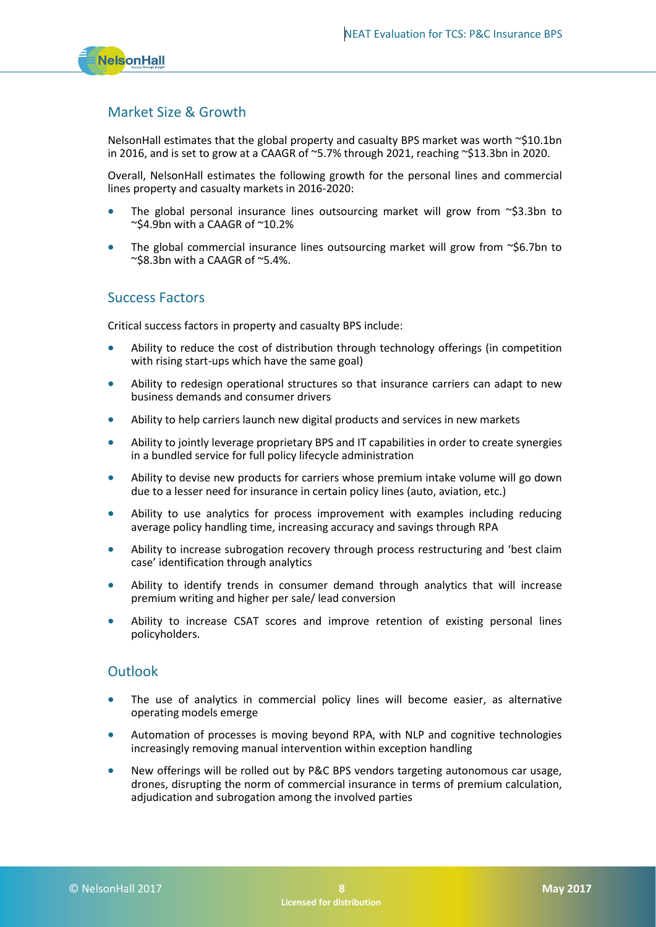

## Market Size & Growth

NelsonHall estimates that the global property and casualty BPS market was worth ~\$10.1bn in 2016, and is set to grow at a CAAGR of  $\sim$  5.7% through 2021, reaching  $\sim$  \$13.3bn in 2020.

Overall, NelsonHall estimates the following growth for the personal lines and commercial lines property and casualty markets in 2016-2020:

- The global personal insurance lines outsourcing market will grow from  $\sim$ \$3.3bn to ~\$4.9bn with a CAAGR of ~10.2%
- The global commercial insurance lines outsourcing market will grow from  $\sim$ \$6.7bn to  $\sim$ \$8.3bn with a CAAGR of  $\sim$ 5.4%.

### Success Factors

Critical success factors in property and casualty BPS include:

- Ability to reduce the cost of distribution through technology offerings (in competition with rising start-ups which have the same goal)
- Ability to redesign operational structures so that insurance carriers can adapt to new business demands and consumer drivers
- Ability to help carriers launch new digital products and services in new markets
- Ability to jointly leverage proprietary BPS and IT capabilities in order to create synergies in a bundled service for full policy lifecycle administration
- Ability to devise new products for carriers whose premium intake volume will go down due to a lesser need for insurance in certain policy lines (auto, aviation, etc.)
- Ability to use analytics for process improvement with examples including reducing average policy handling time, increasing accuracy and savings through RPA
- Ability to increase subrogation recovery through process restructuring and 'best claim case' identification through analytics
- Ability to identify trends in consumer demand through analytics that will increase premium writing and higher per sale/ lead conversion
- Ability to increase CSAT scores and improve retention of existing personal lines policyholders.

## **Outlook**

- The use of analytics in commercial policy lines will become easier, as alternative operating models emerge
- Automation of processes is moving beyond RPA, with NLP and cognitive technologies increasingly removing manual intervention within exception handling
- New offerings will be rolled out by P&C BPS vendors targeting autonomous car usage, drones, disrupting the norm of commercial insurance in terms of premium calculation, adjudication and subrogation among the involved parties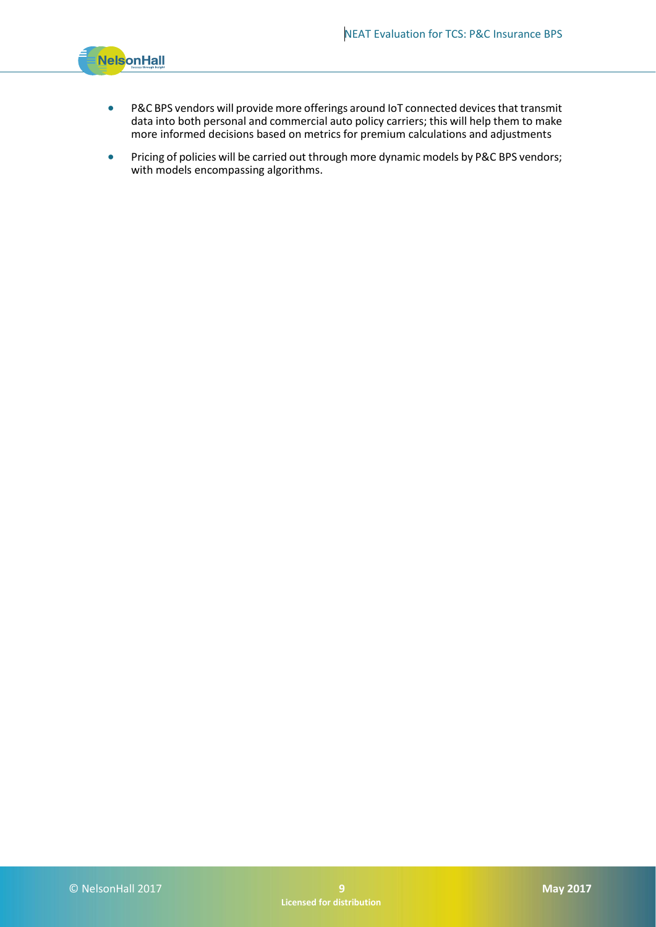

- P&C BPS vendors will provide more offerings around IoT connected devices that transmit data into both personal and commercial auto policy carriers; this will help them to make more informed decisions based on metrics for premium calculations and adjustments
- Pricing of policies will be carried out through more dynamic models by P&C BPS vendors; with models encompassing algorithms.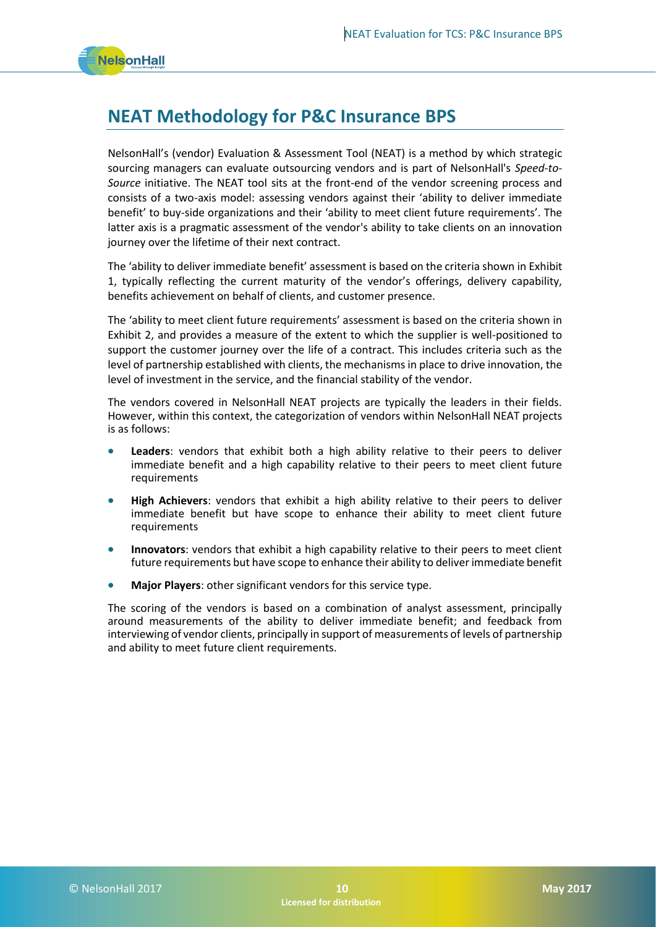## **NEAT Methodology for P&C Insurance BPS**

NelsonHall's (vendor) Evaluation & Assessment Tool (NEAT) is a method by which strategic sourcing managers can evaluate outsourcing vendors and is part of NelsonHall's *Speed-to-Source* initiative. The NEAT tool sits at the front-end of the vendor screening process and consists of a two-axis model: assessing vendors against their 'ability to deliver immediate benefit' to buy-side organizations and their 'ability to meet client future requirements'. The latter axis is a pragmatic assessment of the vendor's ability to take clients on an innovation journey over the lifetime of their next contract.

The 'ability to deliver immediate benefit' assessment is based on the criteria shown in Exhibit 1, typically reflecting the current maturity of the vendor's offerings, delivery capability, benefits achievement on behalf of clients, and customer presence.

The 'ability to meet client future requirements' assessment is based on the criteria shown in Exhibit 2, and provides a measure of the extent to which the supplier is well-positioned to support the customer journey over the life of a contract. This includes criteria such as the level of partnership established with clients, the mechanisms in place to drive innovation, the level of investment in the service, and the financial stability of the vendor.

The vendors covered in NelsonHall NEAT projects are typically the leaders in their fields. However, within this context, the categorization of vendors within NelsonHall NEAT projects is as follows:

- **Leaders**: vendors that exhibit both a high ability relative to their peers to deliver immediate benefit and a high capability relative to their peers to meet client future requirements
- **High Achievers**: vendors that exhibit a high ability relative to their peers to deliver immediate benefit but have scope to enhance their ability to meet client future requirements
- **Innovators**: vendors that exhibit a high capability relative to their peers to meet client future requirements but have scope to enhance their ability to deliver immediate benefit
- **Major Players**: other significant vendors for this service type.

The scoring of the vendors is based on a combination of analyst assessment, principally around measurements of the ability to deliver immediate benefit; and feedback from interviewing of vendor clients, principally in support of measurements of levels of partnership and ability to meet future client requirements.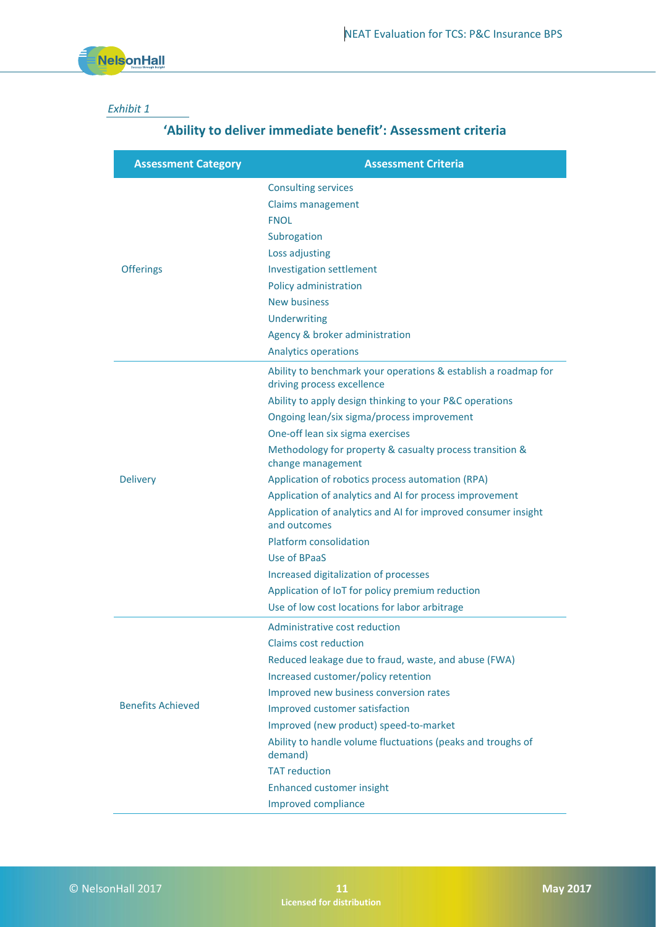### *Exhibit 1*

## **'Ability to deliver immediate benefit': Assessment criteria**

| <b>Assessment Category</b> | <b>Assessment Criteria</b>                                                                   |
|----------------------------|----------------------------------------------------------------------------------------------|
| <b>Offerings</b>           | <b>Consulting services</b>                                                                   |
|                            | Claims management                                                                            |
|                            | <b>FNOL</b>                                                                                  |
|                            | Subrogation                                                                                  |
|                            | Loss adjusting                                                                               |
|                            | <b>Investigation settlement</b>                                                              |
|                            | Policy administration                                                                        |
|                            | <b>New business</b>                                                                          |
|                            | Underwriting                                                                                 |
|                            | Agency & broker administration                                                               |
|                            | <b>Analytics operations</b>                                                                  |
| <b>Delivery</b>            | Ability to benchmark your operations & establish a roadmap for<br>driving process excellence |
|                            | Ability to apply design thinking to your P&C operations                                      |
|                            | Ongoing lean/six sigma/process improvement                                                   |
|                            | One-off lean six sigma exercises                                                             |
|                            | Methodology for property & casualty process transition &<br>change management                |
|                            | Application of robotics process automation (RPA)                                             |
|                            | Application of analytics and AI for process improvement                                      |
|                            | Application of analytics and AI for improved consumer insight<br>and outcomes                |
|                            | <b>Platform consolidation</b>                                                                |
|                            | Use of BPaaS                                                                                 |
|                            | Increased digitalization of processes                                                        |
|                            | Application of IoT for policy premium reduction                                              |
|                            | Use of low cost locations for labor arbitrage                                                |
| <b>Benefits Achieved</b>   | Administrative cost reduction                                                                |
|                            | Claims cost reduction                                                                        |
|                            | Reduced leakage due to fraud, waste, and abuse (FWA)                                         |
|                            | Increased customer/policy retention                                                          |
|                            | Improved new business conversion rates                                                       |
|                            | Improved customer satisfaction                                                               |
|                            | Improved (new product) speed-to-market                                                       |
|                            | Ability to handle volume fluctuations (peaks and troughs of<br>demand)                       |
|                            | <b>TAT reduction</b>                                                                         |
|                            | <b>Enhanced customer insight</b>                                                             |
|                            | Improved compliance                                                                          |